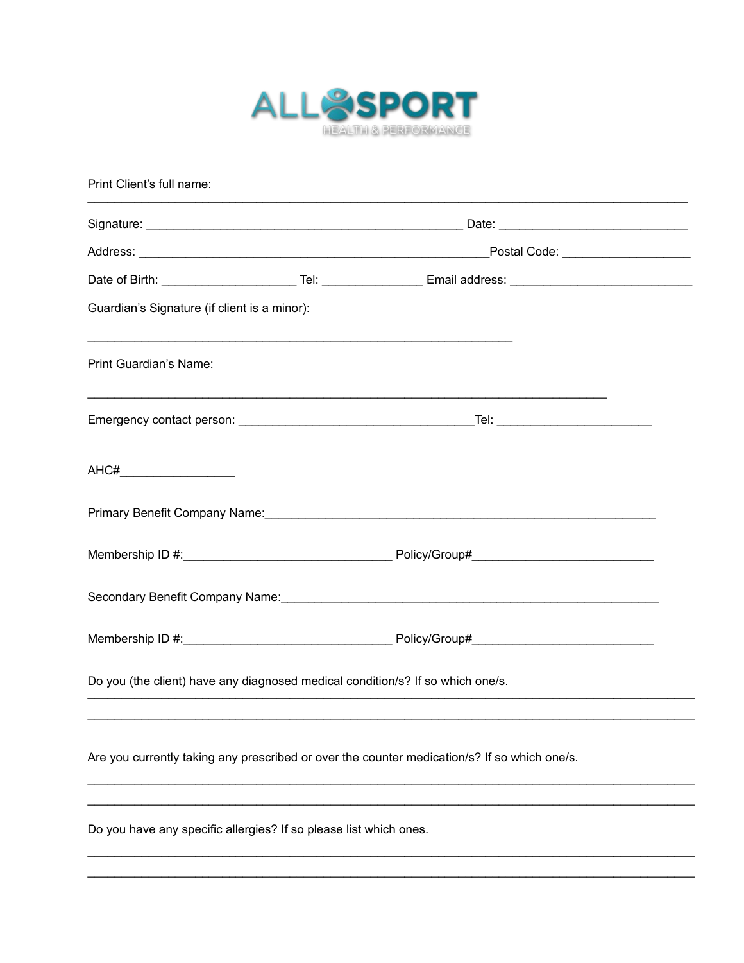

| Print Client's full name:                                                      |  |                                                                                                                |  |  |  |  |
|--------------------------------------------------------------------------------|--|----------------------------------------------------------------------------------------------------------------|--|--|--|--|
|                                                                                |  |                                                                                                                |  |  |  |  |
|                                                                                |  |                                                                                                                |  |  |  |  |
|                                                                                |  | Date of Birth: _____________________________Tel: ______________________Email address: ________________________ |  |  |  |  |
| Guardian's Signature (if client is a minor):                                   |  |                                                                                                                |  |  |  |  |
| Print Guardian's Name:                                                         |  |                                                                                                                |  |  |  |  |
|                                                                                |  |                                                                                                                |  |  |  |  |
| AHC#_________________________                                                  |  |                                                                                                                |  |  |  |  |
|                                                                                |  | Primary Benefit Company Name: Cambridge Company of the Company of the Company of the Company of the Company of |  |  |  |  |
|                                                                                |  |                                                                                                                |  |  |  |  |
|                                                                                |  |                                                                                                                |  |  |  |  |
|                                                                                |  |                                                                                                                |  |  |  |  |
| Do you (the client) have any diagnosed medical condition/s? If so which one/s. |  |                                                                                                                |  |  |  |  |
|                                                                                |  | Are you currently taking any prescribed or over the counter medication/s? If so which one/s.                   |  |  |  |  |
| Do you have any specific allergies? If so please list which ones.              |  |                                                                                                                |  |  |  |  |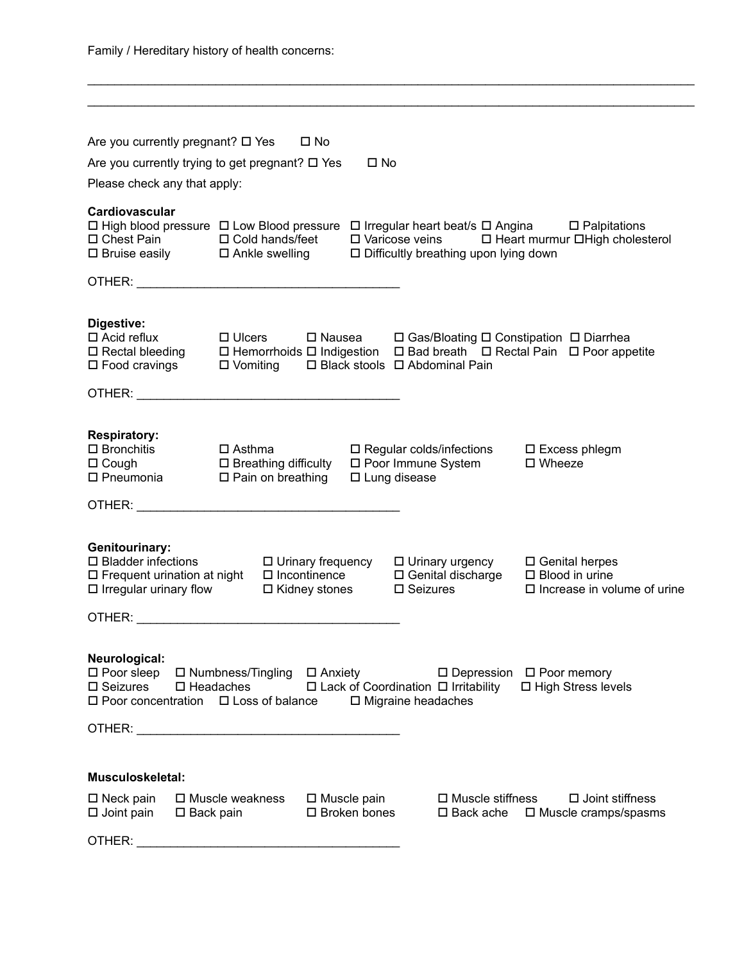$\mathcal{L}_\mathcal{L} = \mathcal{L}_\mathcal{L} = \mathcal{L}_\mathcal{L} = \mathcal{L}_\mathcal{L} = \mathcal{L}_\mathcal{L} = \mathcal{L}_\mathcal{L} = \mathcal{L}_\mathcal{L} = \mathcal{L}_\mathcal{L} = \mathcal{L}_\mathcal{L} = \mathcal{L}_\mathcal{L} = \mathcal{L}_\mathcal{L} = \mathcal{L}_\mathcal{L} = \mathcal{L}_\mathcal{L} = \mathcal{L}_\mathcal{L} = \mathcal{L}_\mathcal{L} = \mathcal{L}_\mathcal{L} = \mathcal{L}_\mathcal{L}$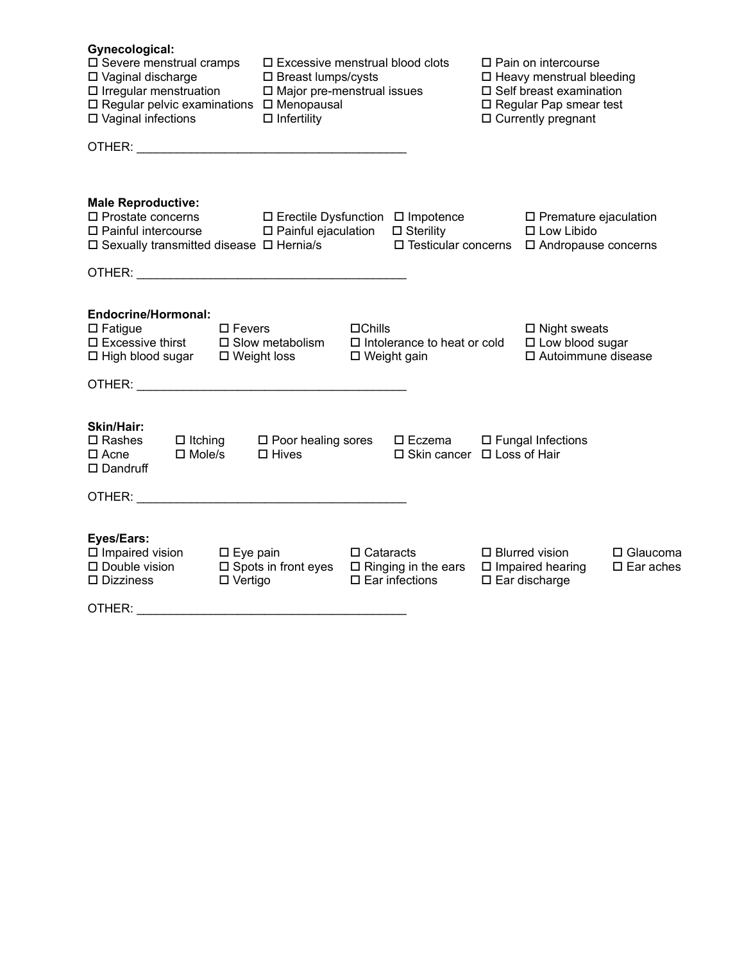| Gynecological:<br>□ Severe menstrual cramps<br>□ Vaginal discharge<br>$\Box$ Irregular menstruation<br>□ Regular pelvic examinations □ Menopausal<br>□ Vaginal infections | $\square$ Excessive menstrual blood clots<br>$\square$ Breast lumps/cysts<br>$\Box$ Major pre-menstrual issues<br>$\Box$ Infertility |                                                                               |                                              | $\Box$ Pain on intercourse<br>$\square$ Heavy menstrual bleeding<br>$\square$ Self breast examination<br>□ Regular Pap smear test<br>$\Box$ Currently pregnant |                                        |
|---------------------------------------------------------------------------------------------------------------------------------------------------------------------------|--------------------------------------------------------------------------------------------------------------------------------------|-------------------------------------------------------------------------------|----------------------------------------------|----------------------------------------------------------------------------------------------------------------------------------------------------------------|----------------------------------------|
|                                                                                                                                                                           |                                                                                                                                      |                                                                               |                                              |                                                                                                                                                                |                                        |
| <b>Male Reproductive:</b><br>□ Prostate concerns<br>$\Box$ Painful intercourse<br>$\square$ Sexually transmitted disease $\square$ Hernia/s                               | □ Erectile Dysfunction □ Impotence<br>□ Painful ejaculation                                                                          |                                                                               | $\square$ Sterility<br>□ Testicular concerns | □ Premature ejaculation<br>$\square$ Low Libido<br>□ Andropause concerns                                                                                       |                                        |
|                                                                                                                                                                           |                                                                                                                                      |                                                                               |                                              |                                                                                                                                                                |                                        |
| <b>Endocrine/Hormonal:</b><br>$\square$ Fatigue<br>$\square$ Fevers<br>$\square$ Excessive thirst<br>$\Box$ High blood sugar<br>$\square$ Weight loss                     | $\square$ Slow metabolism                                                                                                            | $\Box$ Chills<br>$\Box$ Intolerance to heat or cold<br>$\square$ Weight gain  |                                              | $\square$ Night sweats<br>□ Low blood sugar<br>□ Autoimmune disease                                                                                            |                                        |
| <b>Skin/Hair:</b><br>$\square$ Rashes<br>$\Box$ Itching<br>$\square$ Mole/s<br>$\Box$ Acne<br>$\square$ Dandruff                                                          | $\Box$ Poor healing sores $\Box$ Eczema<br>$\Box$ Hives                                                                              |                                                                               | □ Skin cancer □ Loss of Hair                 | □ Fungal Infections                                                                                                                                            |                                        |
|                                                                                                                                                                           |                                                                                                                                      |                                                                               |                                              |                                                                                                                                                                |                                        |
| Eyes/Ears:<br>$\square$ Impaired vision<br>$\square$ Eye pain<br>□ Double vision<br>$\Box$ Vertigo<br>$\square$ Dizziness                                                 | $\square$ Spots in front eyes                                                                                                        | $\Box$ Cataracts<br>$\square$ Ringing in the ears<br>$\square$ Ear infections |                                              | $\Box$ Blurred vision<br>$\square$ Impaired hearing<br>□ Ear discharge                                                                                         | $\Box$ Glaucoma<br>$\square$ Ear aches |
| OTHER: www.astronometer.com                                                                                                                                               |                                                                                                                                      |                                                                               |                                              |                                                                                                                                                                |                                        |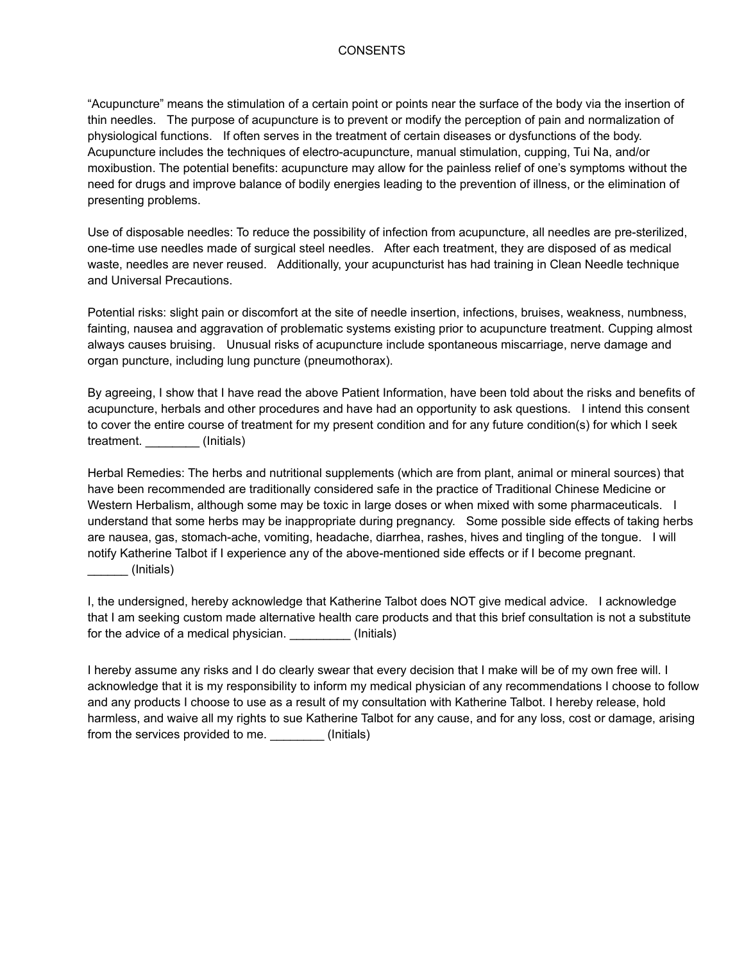## CONSENTS

"Acupuncture" means the stimulation of a certain point or points near the surface of the body via the insertion of thin needles. The purpose of acupuncture is to prevent or modify the perception of pain and normalization of physiological functions. If often serves in the treatment of certain diseases or dysfunctions of the body. Acupuncture includes the techniques of electro-acupuncture, manual stimulation, cupping, Tui Na, and/or moxibustion. The potential benefits: acupuncture may allow for the painless relief of one's symptoms without the need for drugs and improve balance of bodily energies leading to the prevention of illness, or the elimination of presenting problems.   

Use of disposable needles: To reduce the possibility of infection from acupuncture, all needles are pre-sterilized, one-time use needles made of surgical steel needles. After each treatment, they are disposed of as medical waste, needles are never reused. Additionally, your acupuncturist has had training in Clean Needle technique and Universal Precautions.

Potential risks: slight pain or discomfort at the site of needle insertion, infections, bruises, weakness, numbness, fainting, nausea and aggravation of problematic systems existing prior to acupuncture treatment. Cupping almost always causes bruising. Unusual risks of acupuncture include spontaneous miscarriage, nerve damage and organ puncture, including lung puncture (pneumothorax).

By agreeing, I show that I have read the above Patient Information, have been told about the risks and benefits of acupuncture, herbals and other procedures and have had an opportunity to ask questions. I intend this consent to cover the entire course of treatment for my present condition and for any future condition(s) for which I seek treatment. \_\_\_\_\_\_\_\_ (Initials)

Herbal Remedies: The herbs and nutritional supplements (which are from plant, animal or mineral sources) that have been recommended are traditionally considered safe in the practice of Traditional Chinese Medicine or Western Herbalism, although some may be toxic in large doses or when mixed with some pharmaceuticals. I understand that some herbs may be inappropriate during pregnancy. Some possible side effects of taking herbs are nausea, gas, stomach-ache, vomiting, headache, diarrhea, rashes, hives and tingling of the tongue. I will notify Katherine Talbot if I experience any of the above-mentioned side effects or if I become pregnant. \_\_\_\_\_\_ (Initials)

I, the undersigned, hereby acknowledge that Katherine Talbot does NOT give medical advice. I acknowledge that I am seeking custom made alternative health care products and that this brief consultation is not a substitute for the advice of a medical physician. \_\_\_\_\_\_\_\_\_\_\_\_(Initials)

I hereby assume any risks and I do clearly swear that every decision that I make will be of my own free will. I acknowledge that it is my responsibility to inform my medical physician of any recommendations I choose to follow and any products I choose to use as a result of my consultation with Katherine Talbot. I hereby release, hold harmless, and waive all my rights to sue Katherine Talbot for any cause, and for any loss, cost or damage, arising from the services provided to me. \_\_\_\_\_\_\_\_ (Initials)